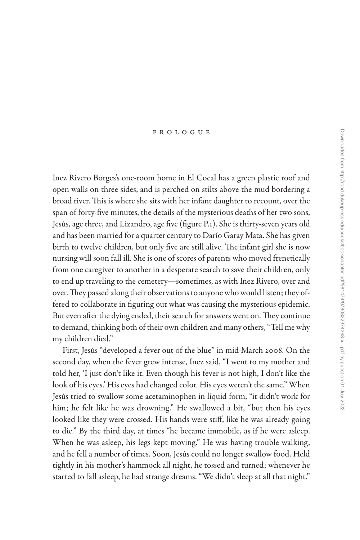## [prologue](#page--1-0)

Inez Rivero Borges's one-room home in El Cocal has a green plastic roof and open walls on three sides, and is perched on stilts above the mud bordering a broad river. This is where she sits with her infant daughter to recount, over the span of forty-five minutes, the details of the mysterious deaths of her two sons, Jesús, age three, and Lizandro, age five [\(figure P.1\)](#page-1-0). She is thirty-seven years old and has been married for a quarter century to Darío Garay Mata. She has given birth to twelve children, but only five are still alive. The infant girl she is now nursing will soon fall ill. She is one of scores of parents who moved frenetically from one caregiver to another in a desperate search to save their children, only to end up traveling to the cemetery—sometimes, as with Inez Rivero, over and over. They passed along their observations to anyone who would listen; they offered to collaborate in figuring out what was causing the mysterious epidemic. But even after the dying ended, their search for answers went on. They continue to demand, thinking both of their own children and many others, "Tell me why my children died."

First, Jesús "developed a fever out of the blue" in mid-March 2008. On the second day, when the fever grew intense, Inez said, "I went to my mother and told her, 'I just don't like it. Even though his fever is not high, I don't like the look of his eyes.' His eyes had changed color. His eyes weren't the same." When Jesús tried to swallow some acetaminophen in liquid form, "it didn't work for him; he felt like he was drowning." He swallowed a bit, "but then his eyes looked like they were crossed. His hands were stiff, like he was already going to die." By the third day, at times "he became immobile, as if he were asleep. When he was asleep, his legs kept moving." He was having trouble walking, and he fell a number of times. Soon, Jesús could no longer swallow food. Held tightly in his mother's hammock all night, he tossed and turned; whenever he started to fall asleep, he had strange dreams. "We didn't sleep at all that night."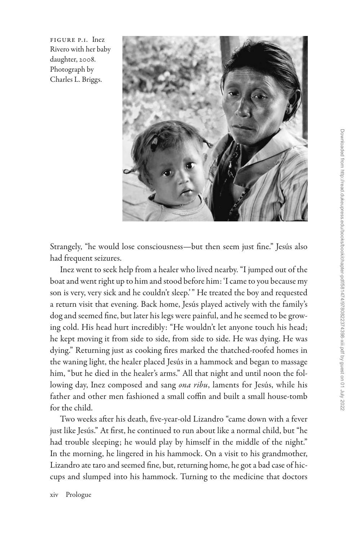<span id="page-1-0"></span>Figure P.1. Inez Rivero with her baby daughter, 2008. Photograph by Charles L. Briggs.



Strangely, "he would lose consciousness—but then seem just fine." Jesús also had frequent seizures.

Inez went to seek help from a healer who lived nearby. "I jumped out of the boat and went right up to him and stood before him: 'I came to you because my son is very, very sick and he couldn't sleep.'" He treated the boy and requested a return visit that evening. Back home, Jesús played actively with the family's dog and seemed fine, but later his legs were painful, and he seemed to be growing cold. His head hurt incredibly: "He wouldn't let anyone touch his head; he kept moving it from side to side, from side to side. He was dying. He was dying." Returning just as cooking fires marked the thatched-roofed homes in the waning light, the healer placed Jesús in a hammock and began to massage him, "but he died in the healer's arms." All that night and until noon the following day, Inez composed and sang *ona ribu*, laments for Jesús, while his father and other men fashioned a small coffin and built a small house-tomb for the child.

Two weeks after his death, five-year-old Lizandro "came down with a fever just like Jesús." At first, he continued to run about like a normal child, but "he had trouble sleeping; he would play by himself in the middle of the night." In the morning, he lingered in his hammock. On a visit to his grandmother, Lizandro ate taro and seemed fine, but, returning home, he got a bad case of hiccups and slumped into his hammock. Turning to the medicine that doctors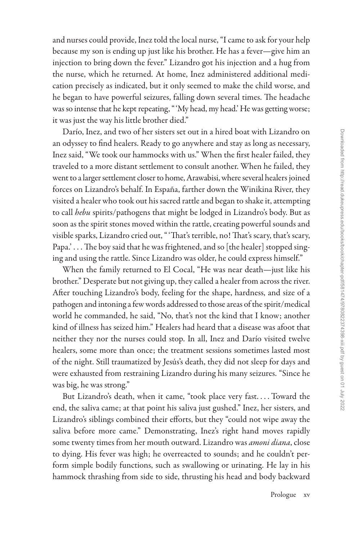and nurses could provide, Inez told the local nurse, "I came to ask for your help because my son is ending up just like his brother. He has a fever—give him an injection to bring down the fever." Lizandro got his injection and a hug from the nurse, which he returned. At home, Inez administered additional medication precisely as indicated, but it only seemed to make the child worse, and he began to have powerful seizures, falling down several times. The headache was so intense that he kept repeating, "'My head, my head.' He was getting worse; it was just the way his little brother died."

Darío, Inez, and two of her sisters set out in a hired boat with Lizandro on an odyssey to find healers. Ready to go anywhere and stay as long as necessary, Inez said, "We took our hammocks with us." When the first healer failed, they traveled to a more distant settlement to consult another. When he failed, they went to a larger settlement closer to home, Arawabisi, where several healers joined forces on Lizandro's behalf. In España, farther down the Winikina River, they visited a healer who took out his sacred rattle and began to shake it, attempting to call *hebu* spirits/pathogens that might be lodged in Lizandro's body. But as soon as the spirit stones moved within the rattle, creating powerful sounds and visible sparks, Lizandro cried out, "'That's terrible, no! That's scary, that's scary, Papa.' . . . The boy said that he was frightened, and so [the healer] stopped singing and using the rattle. Since Lizandro was older, he could express himself."

When the family returned to El Cocal, "He was near death—just like his brother." Desperate but not giving up, they called a healer from across the river. After touching Lizandro's body, feeling for the shape, hardness, and size of a pathogen and intoning a few words addressed to those areas of the spirit/medical world he commanded, he said, "No, that's not the kind that I know; another kind of illness has seized him." Healers had heard that a disease was afoot that neither they nor the nurses could stop. In all, Inez and Darío visited twelve healers, some more than once; the treatment sessions sometimes lasted most of the night. Still traumatized by Jesús's death, they did not sleep for days and were exhausted from restraining Lizandro during his many seizures. "Since he was big, he was strong."

But Lizandro's death, when it came, "took place very fast. . . . Toward the end, the saliva came; at that point his saliva just gushed." Inez, her sisters, and Lizandro's siblings combined their efforts, but they "could not wipe away the saliva before more came." Demonstrating, Inez's right hand moves rapidly some twenty times from her mouth outward. Lizandro was *amoni diana*, close to dying. His fever was high; he overreacted to sounds; and he couldn't perform simple bodily functions, such as swallowing or urinating. He lay in his hammock thrashing from side to side, thrusting his head and body backward